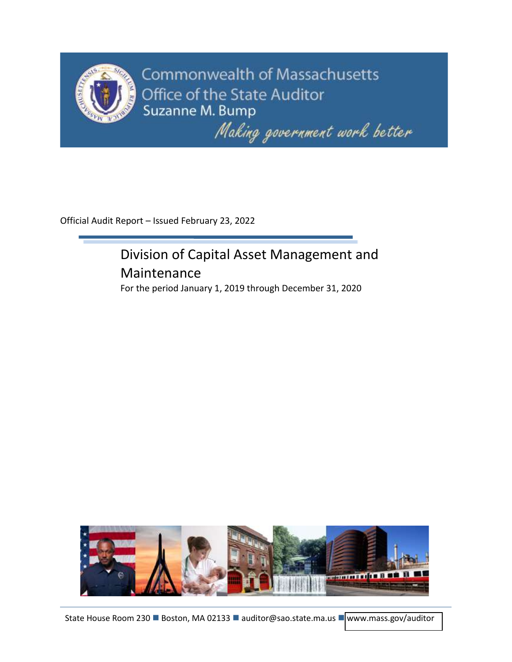

**Commonwealth of Massachusetts** Office of the State Auditor Suzanne M. Bump

Making government work better

Official Audit Report – Issued February 23, 2022

# Division of Capital Asset Management and Maintenance

For the period January 1, 2019 through December 31, 2020

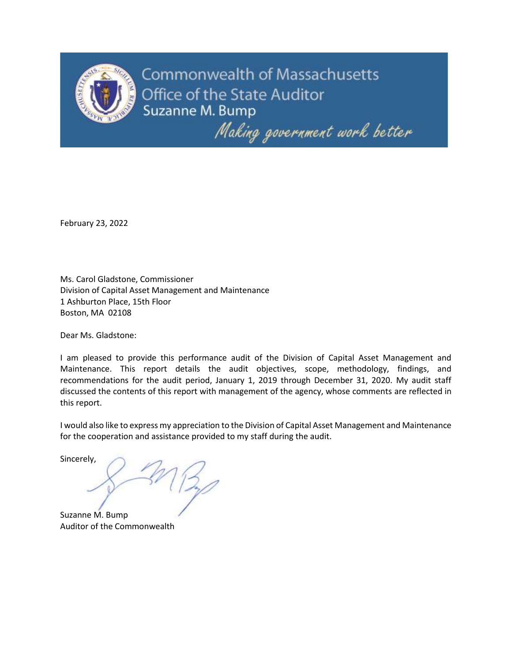

Commonwealth of Massachusetts Office of the State Auditor Suzanne M. Bump

Making government work better

February 23, 2022

Ms. Carol Gladstone, Commissioner Division of Capital Asset Management and Maintenance 1 Ashburton Place, 15th Floor Boston, MA 02108

Dear Ms. Gladstone:

I am pleased to provide this performance audit of the Division of Capital Asset Management and Maintenance. This report details the audit objectives, scope, methodology, findings, and recommendations for the audit period, January 1, 2019 through December 31, 2020. My audit staff discussed the contents of this report with management of the agency, whose comments are reflected in this report.

I would also like to express my appreciation to the Division of Capital Asset Management and Maintenance for the cooperation and assistance provided to my staff during the audit.

Sincerely,

Suzanne M. Bump Auditor of the Commonwealth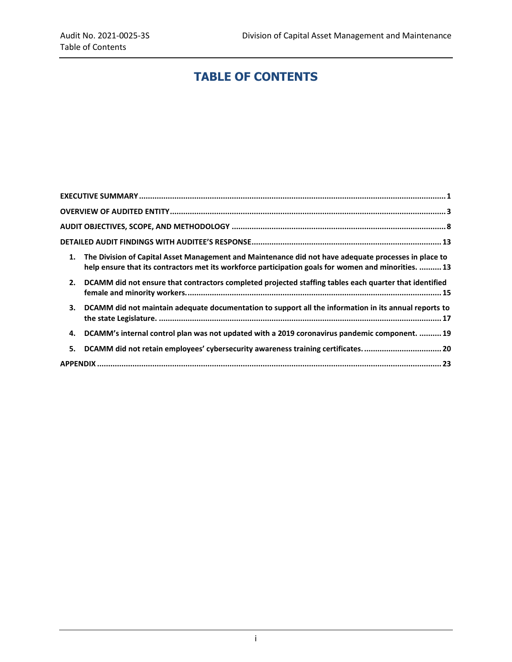## **TABLE OF CONTENTS**

| 1. | The Division of Capital Asset Management and Maintenance did not have adequate processes in place to<br>help ensure that its contractors met its workforce participation goals for women and minorities.  13 |
|----|--------------------------------------------------------------------------------------------------------------------------------------------------------------------------------------------------------------|
| 2. | DCAMM did not ensure that contractors completed projected staffing tables each quarter that identified                                                                                                       |
| 3. | DCAMM did not maintain adequate documentation to support all the information in its annual reports to                                                                                                        |
| 4. | DCAMM's internal control plan was not updated with a 2019 coronavirus pandemic component.  19                                                                                                                |
| 5. | DCAMM did not retain employees' cybersecurity awareness training certificates.  20                                                                                                                           |
|    |                                                                                                                                                                                                              |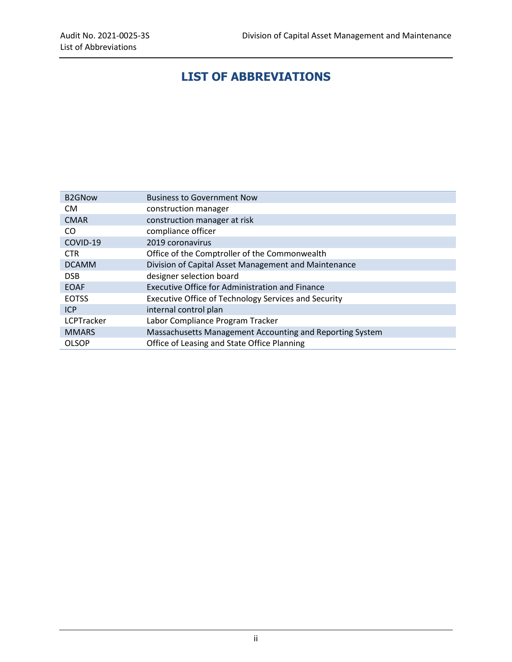## **LIST OF ABBREVIATIONS**

| <b>B2GNow</b> | <b>Business to Government Now</b>                        |
|---------------|----------------------------------------------------------|
| CM.           | construction manager                                     |
| <b>CMAR</b>   | construction manager at risk                             |
| CO.           | compliance officer                                       |
| COVID-19      | 2019 coronavirus                                         |
| <b>CTR</b>    | Office of the Comptroller of the Commonwealth            |
| <b>DCAMM</b>  | Division of Capital Asset Management and Maintenance     |
| <b>DSB</b>    | designer selection board                                 |
| <b>EOAF</b>   | <b>Executive Office for Administration and Finance</b>   |
| <b>EOTSS</b>  | Executive Office of Technology Services and Security     |
| <b>ICP</b>    | internal control plan                                    |
| LCPTracker    | Labor Compliance Program Tracker                         |
| <b>MMARS</b>  | Massachusetts Management Accounting and Reporting System |
| <b>OLSOP</b>  | Office of Leasing and State Office Planning              |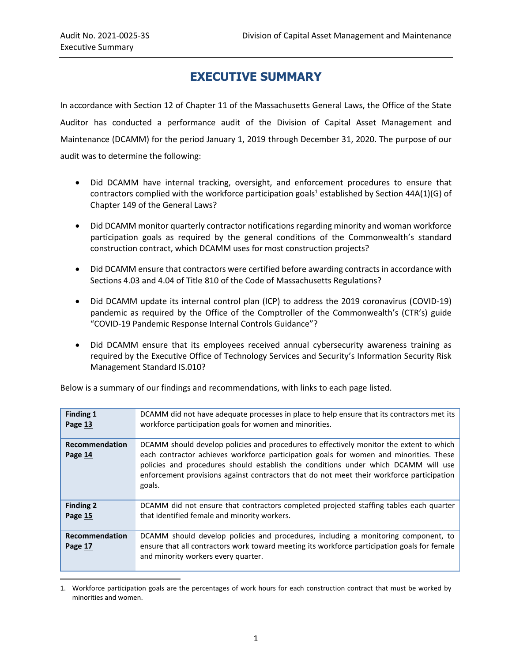$\overline{a}$ 

## **EXECUTIVE SUMMARY**

<span id="page-4-0"></span>In accordance with Section 12 of Chapter 11 of the Massachusetts General Laws, the Office of the State Auditor has conducted a performance audit of the Division of Capital Asset Management and Maintenance (DCAMM) for the period January 1, 2019 through December 31, 2020. The purpose of our audit was to determine the following:

- Did DCAMM have internal tracking, oversight, and enforcement procedures to ensure that contractors complied with the workforce participation goals<sup>1</sup> established by Section 44A(1)(G) of Chapter 149 of the General Laws?
- Did DCAMM monitor quarterly contractor notifications regarding minority and woman workforce participation goals as required by the general conditions of the Commonwealth's standard construction contract, which DCAMM uses for most construction projects?
- Did DCAMM ensure that contractors were certified before awarding contracts in accordance with Sections 4.03 and 4.04 of Title 810 of the Code of Massachusetts Regulations?
- Did DCAMM update its internal control plan (ICP) to address the 2019 coronavirus (COVID-19) pandemic as required by the Office of the Comptroller of the Commonwealth's (CTR's) guide "COVID-19 Pandemic Response Internal Controls Guidance"?
- Did DCAMM ensure that its employees received annual cybersecurity awareness training as required by the Executive Office of Technology Services and Security's Information Security Risk Management Standard IS.010?

| <b>Finding 1</b><br>Page 13 | DCAMM did not have adequate processes in place to help ensure that its contractors met its<br>workforce participation goals for women and minorities.                                                                                                                                                                                                                          |
|-----------------------------|--------------------------------------------------------------------------------------------------------------------------------------------------------------------------------------------------------------------------------------------------------------------------------------------------------------------------------------------------------------------------------|
| Recommendation<br>Page 14   | DCAMM should develop policies and procedures to effectively monitor the extent to which<br>each contractor achieves workforce participation goals for women and minorities. These<br>policies and procedures should establish the conditions under which DCAMM will use<br>enforcement provisions against contractors that do not meet their workforce participation<br>goals. |
| <b>Finding 2</b><br>Page 15 | DCAMM did not ensure that contractors completed projected staffing tables each quarter<br>that identified female and minority workers.                                                                                                                                                                                                                                         |
| Recommendation<br>Page 17   | DCAMM should develop policies and procedures, including a monitoring component, to<br>ensure that all contractors work toward meeting its workforce participation goals for female<br>and minority workers every quarter.                                                                                                                                                      |

Below is a summary of our findings and recommendations, with links to each page listed.

<sup>1.</sup> Workforce participation goals are the percentages of work hours for each construction contract that must be worked by minorities and women.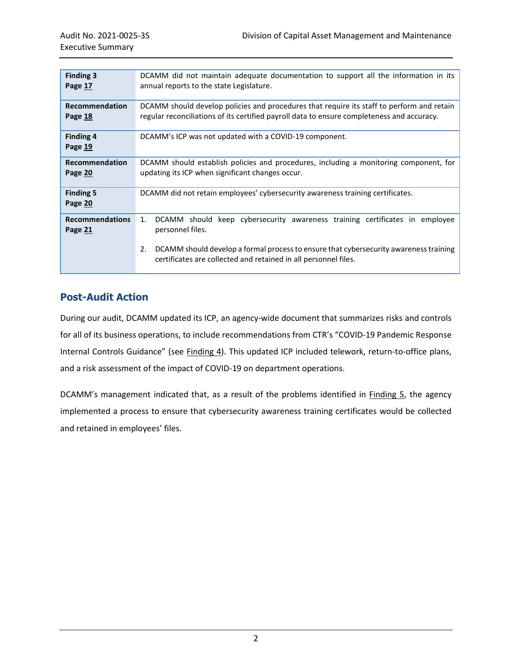| <b>Finding 3</b><br>Page 17       | DCAMM did not maintain adequate documentation to support all the information in its<br>annual reports to the state Legislature.                                                                                                                                            |  |  |  |  |
|-----------------------------------|----------------------------------------------------------------------------------------------------------------------------------------------------------------------------------------------------------------------------------------------------------------------------|--|--|--|--|
| Recommendation<br>Page 18         | DCAMM should develop policies and procedures that require its staff to perform and retain<br>regular reconciliations of its certified payroll data to ensure completeness and accuracy.                                                                                    |  |  |  |  |
| <b>Finding 4</b><br>Page 19       | DCAMM's ICP was not updated with a COVID-19 component.                                                                                                                                                                                                                     |  |  |  |  |
| <b>Recommendation</b><br>Page 20  | DCAMM should establish policies and procedures, including a monitoring component, for<br>updating its ICP when significant changes occur.                                                                                                                                  |  |  |  |  |
| <b>Finding 5</b><br>Page 20       | DCAMM did not retain employees' cybersecurity awareness training certificates.                                                                                                                                                                                             |  |  |  |  |
| <b>Recommendations</b><br>Page 21 | keep cybersecurity awareness training certificates in employee<br>DCAMM should<br>1.<br>personnel files.<br>2.<br>DCAMM should develop a formal process to ensure that cybersecurity awareness training<br>certificates are collected and retained in all personnel files. |  |  |  |  |

## **Post-Audit Action**

During our audit, DCAMM updated its ICP, an agency-wide document that summarizes risks and controls for all of its business operations, to include recommendations from CTR's "COVID-19 Pandemic Response Internal Controls Guidance" (see [Finding 4\)](#page-22-0). This updated ICP included telework, return-to-office plans, and a risk assessment of the impact of COVID-19 on department operations.

DCAMM's management indicated that, as a result of the problems identified in **Finding 5**, the agency implemented a process to ensure that cybersecurity awareness training certificates would be collected and retained in employees' files.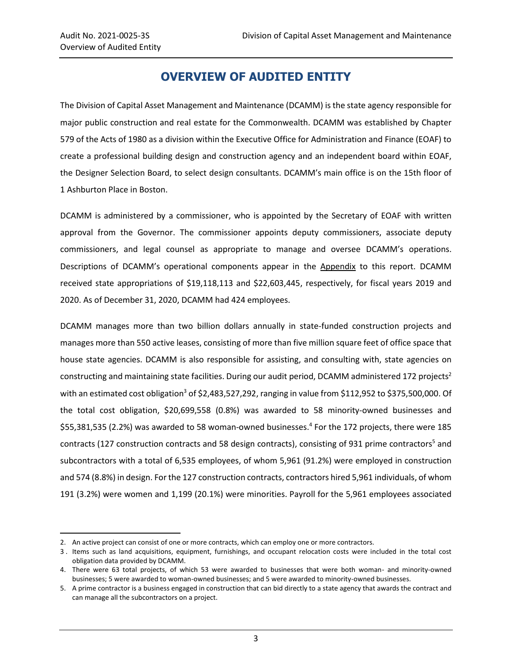$\overline{\phantom{a}}$ 

## **OVERVIEW OF AUDITED ENTITY**

<span id="page-6-0"></span>The Division of Capital Asset Management and Maintenance (DCAMM) is the state agency responsible for major public construction and real estate for the Commonwealth. DCAMM was established by Chapter 579 of the Acts of 1980 as a division within the Executive Office for Administration and Finance (EOAF) to create a professional building design and construction agency and an independent board within EOAF, the Designer Selection Board, to select design consultants. DCAMM's main office is on the 15th floor of 1 Ashburton Place in Boston.

DCAMM is administered by a commissioner, who is appointed by the Secretary of EOAF with written approval from the Governor. The commissioner appoints deputy commissioners, associate deputy commissioners, and legal counsel as appropriate to manage and oversee DCAMM's operations. Descriptions of DCAMM's operational components appear in the [Appendix](#page-26-0) to this report. DCAMM received state appropriations of \$19,118,113 and \$22,603,445, respectively, for fiscal years 2019 and 2020. As of December 31, 2020, DCAMM had 424 employees.

DCAMM manages more than two billion dollars annually in state-funded construction projects and manages more than 550 active leases, consisting of more than five million square feet of office space that house state agencies. DCAMM is also responsible for assisting, and consulting with, state agencies on constructing and maintaining state facilities. During our audit period, DCAMM administered 172 projects<sup>2</sup> with an estimated cost obligation<sup>3</sup> of \$2,483,527,292, ranging in value from \$112,952 to \$375,500,000. Of the total cost obligation, \$20,699,558 (0.8%) was awarded to 58 minority-owned businesses and \$55,381,535 (2.2%) was awarded to 58 woman-owned businesses.<sup>4</sup> For the 172 projects, there were 185 contracts (127 construction contracts and 58 design contracts), consisting of 931 prime contractors<sup>5</sup> and subcontractors with a total of 6,535 employees, of whom 5,961 (91.2%) were employed in construction and 574 (8.8%) in design. For the 127 construction contracts, contractors hired 5,961 individuals, of whom 191 (3.2%) were women and 1,199 (20.1%) were minorities. Payroll for the 5,961 employees associated

<sup>2.</sup> An active project can consist of one or more contracts, which can employ one or more contractors.

<sup>3</sup> . Items such as land acquisitions, equipment, furnishings, and occupant relocation costs were included in the total cost obligation data provided by DCAMM.

<sup>4.</sup> There were 63 total projects, of which 53 were awarded to businesses that were both woman- and minority-owned businesses; 5 were awarded to woman-owned businesses; and 5 were awarded to minority-owned businesses.

<sup>5.</sup> A prime contractor is a business engaged in construction that can bid directly to a state agency that awards the contract and can manage all the subcontractors on a project.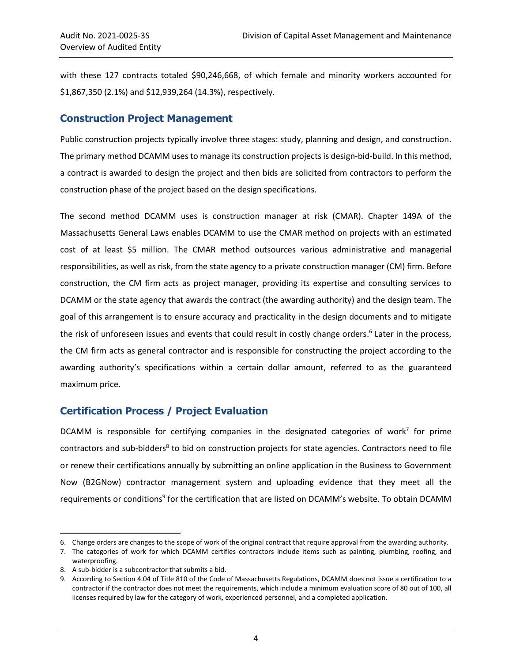with these 127 contracts totaled \$90,246,668, of which female and minority workers accounted for \$1,867,350 (2.1%) and \$12,939,264 (14.3%), respectively.

#### **Construction Project Management**

Public construction projects typically involve three stages: study, planning and design, and construction. The primary method DCAMM uses to manage its construction projects is design-bid-build. In this method, a contract is awarded to design the project and then bids are solicited from contractors to perform the construction phase of the project based on the design specifications.

The second method DCAMM uses is construction manager at risk (CMAR). Chapter 149A of the Massachusetts General Laws enables DCAMM to use the CMAR method on projects with an estimated cost of at least \$5 million. The CMAR method outsources various administrative and managerial responsibilities, as well as risk, from the state agency to a private construction manager (CM) firm. Before construction, the CM firm acts as project manager, providing its expertise and consulting services to DCAMM or the state agency that awards the contract (the awarding authority) and the design team. The goal of this arrangement is to ensure accuracy and practicality in the design documents and to mitigate the risk of unforeseen issues and events that could result in costly change orders. 6 Later in the process, the CM firm acts as general contractor and is responsible for constructing the project according to the awarding authority's specifications within a certain dollar amount, referred to as the guaranteed maximum price.

#### **Certification Process / Project Evaluation**

DCAMM is responsible for certifying companies in the designated categories of work<sup>7</sup> for prime contractors and sub-bidders<sup>8</sup> to bid on construction projects for state agencies. Contractors need to file or renew their certifications annually by submitting an online application in the Business to Government Now (B2GNow) contractor management system and uploading evidence that they meet all the requirements or conditions<sup>9</sup> for the certification that are listed on DCAMM's website. To obtain DCAMM

 $\overline{\phantom{a}}$ 

<sup>6.</sup> Change orders are changes to the scope of work of the original contract that require approval from the awarding authority.

<sup>7.</sup> The categories of work for which DCAMM certifies contractors include items such as painting, plumbing, roofing, and waterproofing.

<sup>8.</sup> A sub-bidder is a subcontractor that submits a bid.

<sup>9.</sup> According to Section 4.04 of Title 810 of the Code of Massachusetts Regulations, DCAMM does not issue a certification to a contractor if the contractor does not meet the requirements, which include a minimum evaluation score of 80 out of 100, all licenses required by law for the category of work, experienced personnel, and a completed application.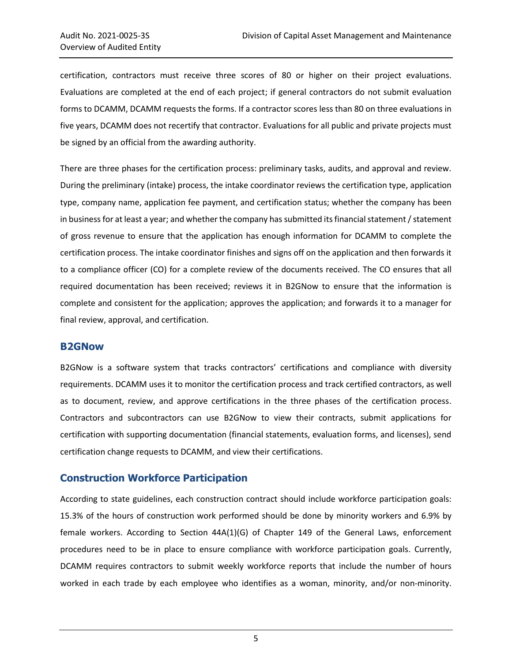certification, contractors must receive three scores of 80 or higher on their project evaluations. Evaluations are completed at the end of each project; if general contractors do not submit evaluation forms to DCAMM, DCAMM requests the forms. If a contractor scores less than 80 on three evaluations in five years, DCAMM does not recertify that contractor. Evaluations for all public and private projects must be signed by an official from the awarding authority.

There are three phases for the certification process: preliminary tasks, audits, and approval and review. During the preliminary (intake) process, the intake coordinator reviews the certification type, application type, company name, application fee payment, and certification status; whether the company has been in business for at least a year; and whether the company has submitted its financial statement / statement of gross revenue to ensure that the application has enough information for DCAMM to complete the certification process. The intake coordinator finishes and signs off on the application and then forwards it to a compliance officer (CO) for a complete review of the documents received. The CO ensures that all required documentation has been received; reviews it in B2GNow to ensure that the information is complete and consistent for the application; approves the application; and forwards it to a manager for final review, approval, and certification.

#### **B2GNow**

B2GNow is a software system that tracks contractors' certifications and compliance with diversity requirements. DCAMM uses it to monitor the certification process and track certified contractors, as well as to document, review, and approve certifications in the three phases of the certification process. Contractors and subcontractors can use B2GNow to view their contracts, submit applications for certification with supporting documentation (financial statements, evaluation forms, and licenses), send certification change requests to DCAMM, and view their certifications.

#### **Construction Workforce Participation**

According to state guidelines, each construction contract should include workforce participation goals: 15.3% of the hours of construction work performed should be done by minority workers and 6.9% by female workers. According to Section 44A(1)(G) of Chapter 149 of the General Laws, enforcement procedures need to be in place to ensure compliance with workforce participation goals. Currently, DCAMM requires contractors to submit weekly workforce reports that include the number of hours worked in each trade by each employee who identifies as a woman, minority, and/or non-minority.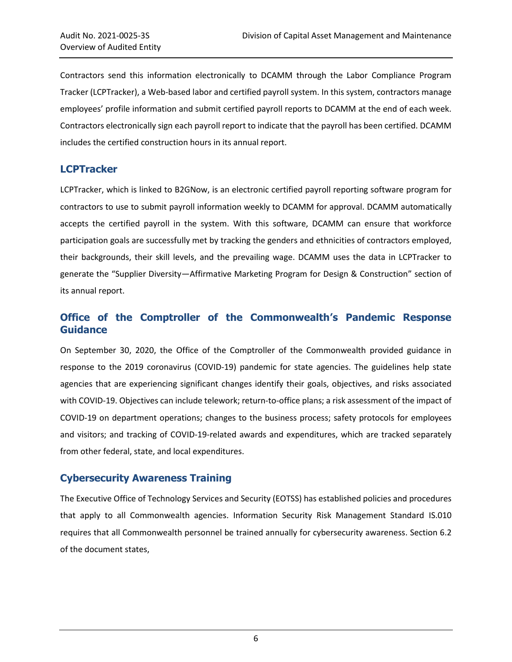Contractors send this information electronically to DCAMM through the Labor Compliance Program Tracker (LCPTracker), a Web-based labor and certified payroll system. In this system, contractors manage employees' profile information and submit certified payroll reports to DCAMM at the end of each week. Contractors electronically sign each payroll report to indicate that the payroll has been certified. DCAMM includes the certified construction hours in its annual report.

#### **LCPTracker**

LCPTracker, which is linked to B2GNow, is an electronic certified payroll reporting software program for contractors to use to submit payroll information weekly to DCAMM for approval. DCAMM automatically accepts the certified payroll in the system. With this software, DCAMM can ensure that workforce participation goals are successfully met by tracking the genders and ethnicities of contractors employed, their backgrounds, their skill levels, and the prevailing wage. DCAMM uses the data in LCPTracker to generate the "Supplier Diversity—Affirmative Marketing Program for Design & Construction" section of its annual report.

## **Office of the Comptroller of the Commonwealth's Pandemic Response Guidance**

On September 30, 2020, the Office of the Comptroller of the Commonwealth provided guidance in response to the 2019 coronavirus (COVID-19) pandemic for state agencies. The guidelines help state agencies that are experiencing significant changes identify their goals, objectives, and risks associated with COVID-19. Objectives can include telework; return-to-office plans; a risk assessment of the impact of COVID-19 on department operations; changes to the business process; safety protocols for employees and visitors; and tracking of COVID-19-related awards and expenditures, which are tracked separately from other federal, state, and local expenditures.

## **Cybersecurity Awareness Training**

The Executive Office of Technology Services and Security (EOTSS) has established policies and procedures that apply to all Commonwealth agencies. Information Security Risk Management Standard IS.010 requires that all Commonwealth personnel be trained annually for cybersecurity awareness. Section 6.2 of the document states,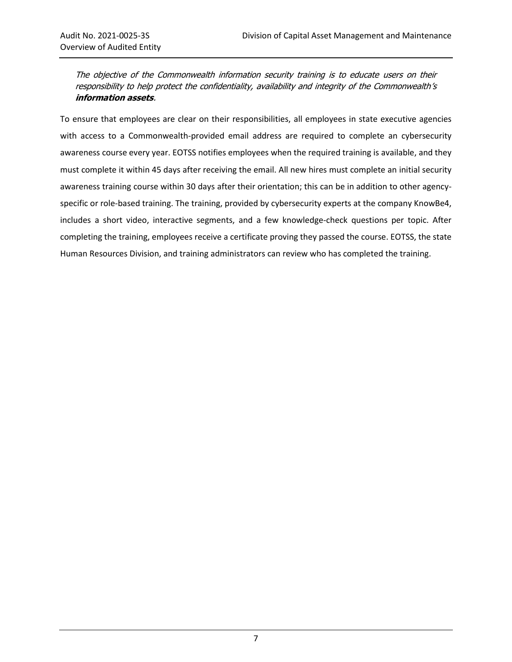The objective of the Commonwealth information security training is to educate users on their responsibility to help protect the confidentiality, availability and integrity of the Commonwealth'<sup>s</sup> **information assets**.

To ensure that employees are clear on their responsibilities, all employees in state executive agencies with access to a Commonwealth-provided email address are required to complete an cybersecurity awareness course every year. EOTSS notifies employees when the required training is available, and they must complete it within 45 days after receiving the email. All new hires must complete an initial security awareness training course within 30 days after their orientation; this can be in addition to other agencyspecific or role-based training. The training, provided by cybersecurity experts at the company KnowBe4, includes a short video, interactive segments, and a few knowledge-check questions per topic. After completing the training, employees receive a certificate proving they passed the course. EOTSS, the state Human Resources Division, and training administrators can review who has completed the training.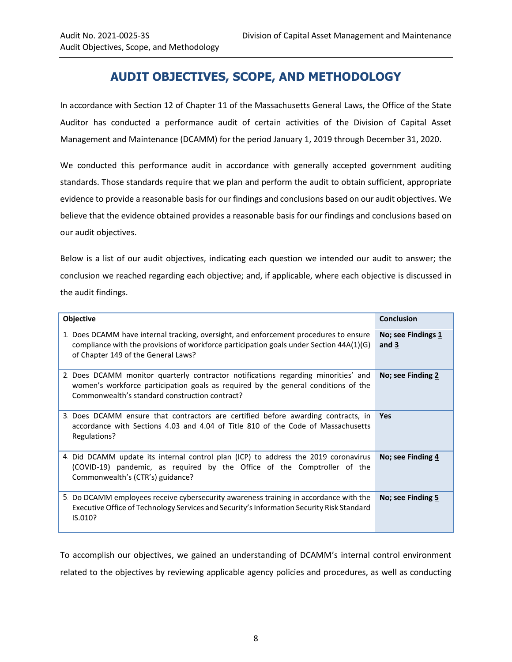## **AUDIT OBJECTIVES, SCOPE, AND METHODOLOGY**

<span id="page-11-0"></span>In accordance with Section 12 of Chapter 11 of the Massachusetts General Laws, the Office of the State Auditor has conducted a performance audit of certain activities of the Division of Capital Asset Management and Maintenance (DCAMM) for the period January 1, 2019 through December 31, 2020.

We conducted this performance audit in accordance with generally accepted government auditing standards. Those standards require that we plan and perform the audit to obtain sufficient, appropriate evidence to provide a reasonable basis for our findings and conclusions based on our audit objectives. We believe that the evidence obtained provides a reasonable basis for our findings and conclusions based on our audit objectives.

Below is a list of our audit objectives, indicating each question we intended our audit to answer; the conclusion we reached regarding each objective; and, if applicable, where each objective is discussed in the audit findings.

| Objective                                                                                                                                                                                                                  | <b>Conclusion</b>           |
|----------------------------------------------------------------------------------------------------------------------------------------------------------------------------------------------------------------------------|-----------------------------|
| 1. Does DCAMM have internal tracking, oversight, and enforcement procedures to ensure<br>compliance with the provisions of workforce participation goals under Section $44A(1)(G)$<br>of Chapter 149 of the General Laws?  | No; see Findings 1<br>and 3 |
| 2. Does DCAMM monitor quarterly contractor notifications regarding minorities' and<br>women's workforce participation goals as required by the general conditions of the<br>Commonwealth's standard construction contract? | No; see Finding 2           |
| 3. Does DCAMM ensure that contractors are certified before awarding contracts, in<br>accordance with Sections 4.03 and 4.04 of Title 810 of the Code of Massachusetts<br>Regulations?                                      | <b>Yes</b>                  |
| 4. Did DCAMM update its internal control plan (ICP) to address the 2019 coronavirus<br>(COVID-19) pandemic, as required by the Office of the Comptroller of the<br>Commonwealth's (CTR's) guidance?                        | No; see Finding 4           |
| 5. Do DCAMM employees receive cybersecurity awareness training in accordance with the<br>Executive Office of Technology Services and Security's Information Security Risk Standard<br>IS.010?                              | No; see Finding 5           |

To accomplish our objectives, we gained an understanding of DCAMM's internal control environment related to the objectives by reviewing applicable agency policies and procedures, as well as conducting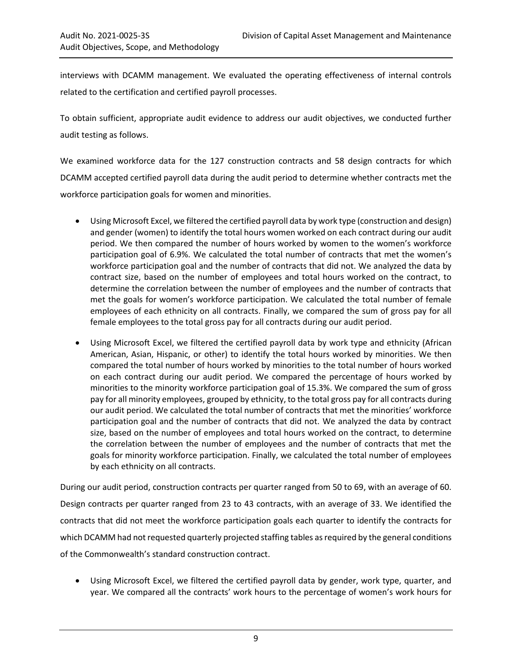interviews with DCAMM management. We evaluated the operating effectiveness of internal controls related to the certification and certified payroll processes.

To obtain sufficient, appropriate audit evidence to address our audit objectives, we conducted further audit testing as follows.

We examined workforce data for the 127 construction contracts and 58 design contracts for which DCAMM accepted certified payroll data during the audit period to determine whether contracts met the workforce participation goals for women and minorities.

- Using Microsoft Excel, we filtered the certified payroll data by work type (construction and design) and gender (women) to identify the total hours women worked on each contract during our audit period. We then compared the number of hours worked by women to the women's workforce participation goal of 6.9%. We calculated the total number of contracts that met the women's workforce participation goal and the number of contracts that did not. We analyzed the data by contract size, based on the number of employees and total hours worked on the contract, to determine the correlation between the number of employees and the number of contracts that met the goals for women's workforce participation. We calculated the total number of female employees of each ethnicity on all contracts. Finally, we compared the sum of gross pay for all female employees to the total gross pay for all contracts during our audit period.
- Using Microsoft Excel, we filtered the certified payroll data by work type and ethnicity (African American, Asian, Hispanic, or other) to identify the total hours worked by minorities. We then compared the total number of hours worked by minorities to the total number of hours worked on each contract during our audit period. We compared the percentage of hours worked by minorities to the minority workforce participation goal of 15.3%. We compared the sum of gross pay for all minority employees, grouped by ethnicity, to the total gross pay for all contracts during our audit period. We calculated the total number of contracts that met the minorities' workforce participation goal and the number of contracts that did not. We analyzed the data by contract size, based on the number of employees and total hours worked on the contract, to determine the correlation between the number of employees and the number of contracts that met the goals for minority workforce participation. Finally, we calculated the total number of employees by each ethnicity on all contracts.

During our audit period, construction contracts per quarter ranged from 50 to 69, with an average of 60. Design contracts per quarter ranged from 23 to 43 contracts, with an average of 33. We identified the contracts that did not meet the workforce participation goals each quarter to identify the contracts for which DCAMM had not requested quarterly projected staffing tables as required by the general conditions of the Commonwealth's standard construction contract.

 Using Microsoft Excel, we filtered the certified payroll data by gender, work type, quarter, and year. We compared all the contracts' work hours to the percentage of women's work hours for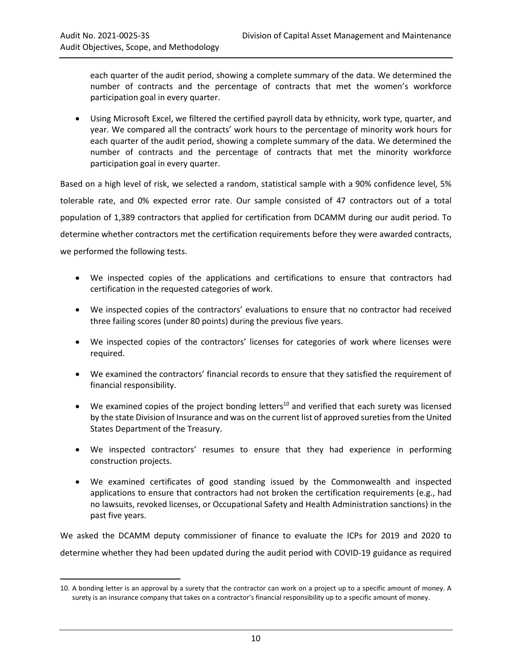$\overline{a}$ 

each quarter of the audit period, showing a complete summary of the data. We determined the number of contracts and the percentage of contracts that met the women's workforce participation goal in every quarter.

 Using Microsoft Excel, we filtered the certified payroll data by ethnicity, work type, quarter, and year. We compared all the contracts' work hours to the percentage of minority work hours for each quarter of the audit period, showing a complete summary of the data. We determined the number of contracts and the percentage of contracts that met the minority workforce participation goal in every quarter.

Based on a high level of risk, we selected a random, statistical sample with a 90% confidence level, 5% tolerable rate, and 0% expected error rate. Our sample consisted of 47 contractors out of a total population of 1,389 contractors that applied for certification from DCAMM during our audit period. To determine whether contractors met the certification requirements before they were awarded contracts, we performed the following tests.

- We inspected copies of the applications and certifications to ensure that contractors had certification in the requested categories of work.
- We inspected copies of the contractors' evaluations to ensure that no contractor had received three failing scores (under 80 points) during the previous five years.
- We inspected copies of the contractors' licenses for categories of work where licenses were required.
- We examined the contractors' financial records to ensure that they satisfied the requirement of financial responsibility.
- $\bullet$  We examined copies of the project bonding letters<sup>10</sup> and verified that each surety was licensed by the state Division of Insurance and was on the current list of approved sureties from the United States Department of the Treasury.
- We inspected contractors' resumes to ensure that they had experience in performing construction projects.
- We examined certificates of good standing issued by the Commonwealth and inspected applications to ensure that contractors had not broken the certification requirements (e.g., had no lawsuits, revoked licenses, or Occupational Safety and Health Administration sanctions) in the past five years.

We asked the DCAMM deputy commissioner of finance to evaluate the ICPs for 2019 and 2020 to determine whether they had been updated during the audit period with COVID-19 guidance as required

<sup>10.</sup> A bonding letter is an approval by a surety that the contractor can work on a project up to a specific amount of money. A surety is an insurance company that takes on a contractor's financial responsibility up to a specific amount of money.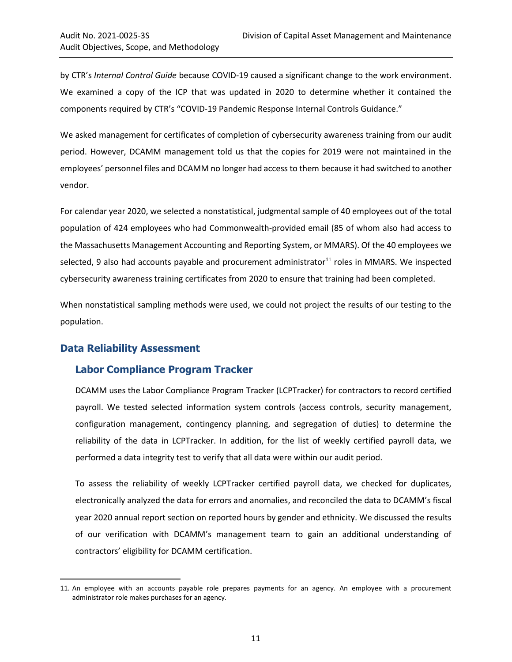by CTR's *Internal Control Guide* because COVID-19 caused a significant change to the work environment. We examined a copy of the ICP that was updated in 2020 to determine whether it contained the components required by CTR's "COVID-19 Pandemic Response Internal Controls Guidance."

We asked management for certificates of completion of cybersecurity awareness training from our audit period. However, DCAMM management told us that the copies for 2019 were not maintained in the employees' personnel files and DCAMM no longer had access to them because it had switched to another vendor.

For calendar year 2020, we selected a nonstatistical, judgmental sample of 40 employees out of the total population of 424 employees who had Commonwealth-provided email (85 of whom also had access to the Massachusetts Management Accounting and Reporting System, or MMARS). Of the 40 employees we selected, 9 also had accounts payable and procurement administrator<sup>11</sup> roles in MMARS. We inspected cybersecurity awareness training certificates from 2020 to ensure that training had been completed.

When nonstatistical sampling methods were used, we could not project the results of our testing to the population.

## **Data Reliability Assessment**

 $\overline{a}$ 

## **Labor Compliance Program Tracker**

DCAMM uses the Labor Compliance Program Tracker (LCPTracker) for contractors to record certified payroll. We tested selected information system controls (access controls, security management, configuration management, contingency planning, and segregation of duties) to determine the reliability of the data in LCPTracker. In addition, for the list of weekly certified payroll data, we performed a data integrity test to verify that all data were within our audit period.

To assess the reliability of weekly LCPTracker certified payroll data, we checked for duplicates, electronically analyzed the data for errors and anomalies, and reconciled the data to DCAMM's fiscal year 2020 annual report section on reported hours by gender and ethnicity. We discussed the results of our verification with DCAMM's management team to gain an additional understanding of contractors' eligibility for DCAMM certification.

<sup>11.</sup> An employee with an accounts payable role prepares payments for an agency. An employee with a procurement administrator role makes purchases for an agency.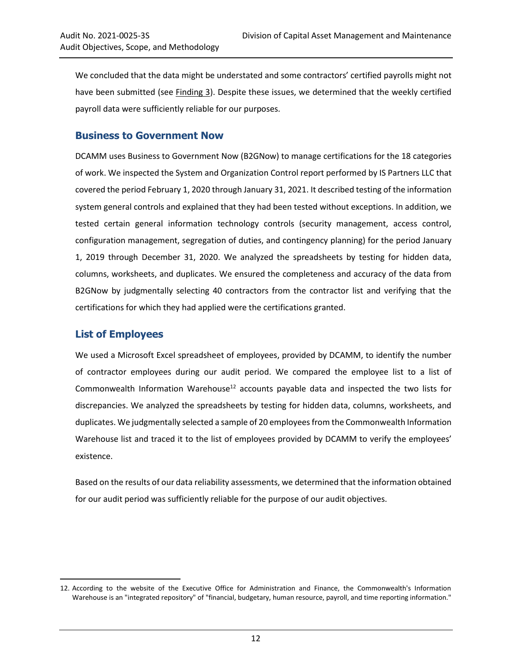We concluded that the data might be understated and some contractors' certified payrolls might not have been submitted (see [Finding 3\)](#page-20-0). Despite these issues, we determined that the weekly certified payroll data were sufficiently reliable for our purposes.

#### **Business to Government Now**

DCAMM uses Business to Government Now (B2GNow) to manage certifications for the 18 categories of work. We inspected the System and Organization Control report performed by IS Partners LLC that covered the period February 1, 2020 through January 31, 2021. It described testing of the information system general controls and explained that they had been tested without exceptions. In addition, we tested certain general information technology controls (security management, access control, configuration management, segregation of duties, and contingency planning) for the period January 1, 2019 through December 31, 2020. We analyzed the spreadsheets by testing for hidden data, columns, worksheets, and duplicates. We ensured the completeness and accuracy of the data from B2GNow by judgmentally selecting 40 contractors from the contractor list and verifying that the certifications for which they had applied were the certifications granted.

#### **List of Employees**

 $\overline{a}$ 

We used a Microsoft Excel spreadsheet of employees, provided by DCAMM, to identify the number of contractor employees during our audit period. We compared the employee list to a list of Commonwealth Information Warehouse<sup>12</sup> accounts payable data and inspected the two lists for discrepancies. We analyzed the spreadsheets by testing for hidden data, columns, worksheets, and duplicates. We judgmentally selected a sample of 20 employees from the Commonwealth Information Warehouse list and traced it to the list of employees provided by DCAMM to verify the employees' existence.

Based on the results of our data reliability assessments, we determined that the information obtained for our audit period was sufficiently reliable for the purpose of our audit objectives.

<sup>12.</sup> According to the website of the Executive Office for Administration and Finance, the Commonwealth's Information Warehouse is an "integrated repository" of "financial, budgetary, human resource, payroll, and time reporting information."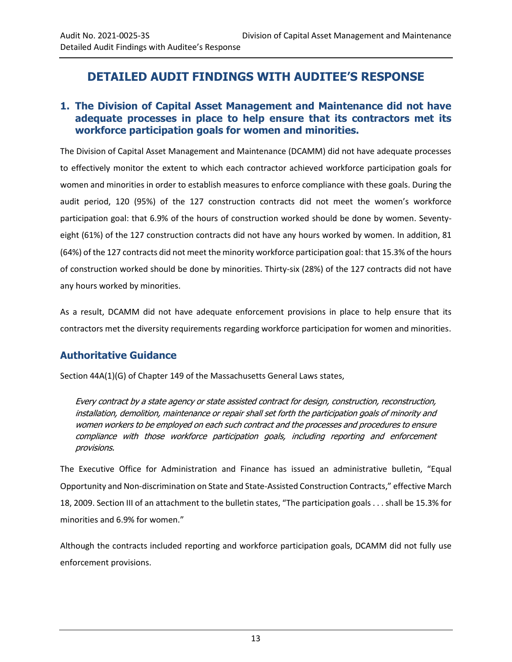## <span id="page-16-0"></span>**DETAILED AUDIT FINDINGS WITH AUDITEE'S RESPONSE**

## <span id="page-16-1"></span>**1. The Division of Capital Asset Management and Maintenance did not have adequate processes in place to help ensure that its contractors met its workforce participation goals for women and minorities.**

The Division of Capital Asset Management and Maintenance (DCAMM) did not have adequate processes to effectively monitor the extent to which each contractor achieved workforce participation goals for women and minorities in order to establish measures to enforce compliance with these goals. During the audit period, 120 (95%) of the 127 construction contracts did not meet the women's workforce participation goal: that 6.9% of the hours of construction worked should be done by women. Seventyeight (61%) of the 127 construction contracts did not have any hours worked by women. In addition, 81 (64%) of the 127 contracts did not meet the minority workforce participation goal: that 15.3% of the hours of construction worked should be done by minorities. Thirty-six (28%) of the 127 contracts did not have any hours worked by minorities.

As a result, DCAMM did not have adequate enforcement provisions in place to help ensure that its contractors met the diversity requirements regarding workforce participation for women and minorities.

## **Authoritative Guidance**

Section 44A(1)(G) of Chapter 149 of the Massachusetts General Laws states,

Every contract by a state agency or state assisted contract for design, construction, reconstruction, installation, demolition, maintenance or repair shall set forth the participation goals of minority and women workers to be employed on each such contract and the processes and procedures to ensure compliance with those workforce participation goals, including reporting and enforcement provisions.

The Executive Office for Administration and Finance has issued an administrative bulletin, "Equal Opportunity and Non-discrimination on State and State-Assisted Construction Contracts," effective March 18, 2009. Section III of an attachment to the bulletin states, "The participation goals . . . shall be 15.3% for minorities and 6.9% for women."

Although the contracts included reporting and workforce participation goals, DCAMM did not fully use enforcement provisions.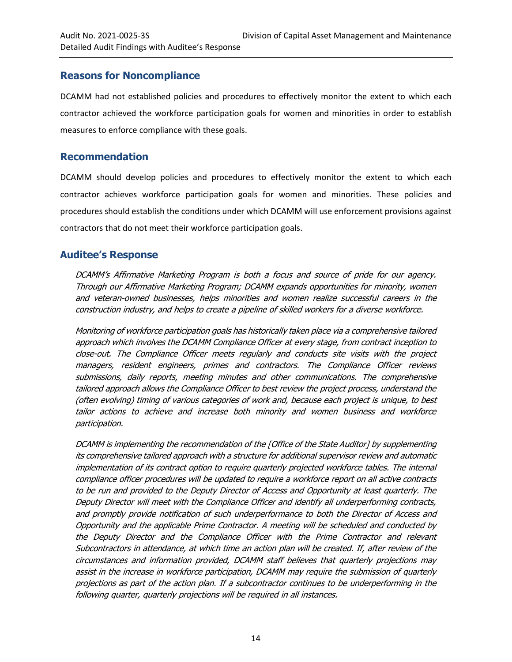#### **Reasons for Noncompliance**

DCAMM had not established policies and procedures to effectively monitor the extent to which each contractor achieved the workforce participation goals for women and minorities in order to establish measures to enforce compliance with these goals.

#### <span id="page-17-0"></span>**Recommendation**

DCAMM should develop policies and procedures to effectively monitor the extent to which each contractor achieves workforce participation goals for women and minorities. These policies and procedures should establish the conditions under which DCAMM will use enforcement provisions against contractors that do not meet their workforce participation goals.

## **Auditee's Response**

DCAMM's Affirmative Marketing Program is both a focus and source of pride for our agency. Through our Affirmative Marketing Program; DCAMM expands opportunities for minority, women and veteran-owned businesses, helps minorities and women realize successful careers in the construction industry, and helps to create a pipeline of skilled workers for a diverse workforce.

Monitoring of workforce participation goals has historically taken place via a comprehensive tailored approach which involves the DCAMM Compliance Officer at every stage, from contract inception to close-out. The Compliance Officer meets regularly and conducts site visits with the project managers, resident engineers, primes and contractors. The Compliance Officer reviews submissions, daily reports, meeting minutes and other communications. The comprehensive tailored approach allows the Compliance Officer to best review the project process, understand the (often evolving) timing of various categories of work and, because each project is unique, to best tailor actions to achieve and increase both minority and women business and workforce participation.

DCAMM is implementing the recommendation of the [Office of the State Auditor] by supplementing its comprehensive tailored approach with a structure for additional supervisor review and automatic implementation of its contract option to require quarterly projected workforce tables. The internal compliance officer procedures will be updated to require a workforce report on all active contracts to be run and provided to the Deputy Director of Access and Opportunity at least quarterly. The Deputy Director will meet with the Compliance Officer and identify all underperforming contracts, and promptly provide notification of such underperformance to both the Director of Access and Opportunity and the applicable Prime Contractor. A meeting will be scheduled and conducted by the Deputy Director and the Compliance Officer with the Prime Contractor and relevant Subcontractors in attendance, at which time an action plan will be created. If, after review of the circumstances and information provided, DCAMM staff believes that quarterly projections may assist in the increase in workforce participation, DCAMM may require the submission of quarterly projections as part of the action plan. If a subcontractor continues to be underperforming in the following quarter, quarterly projections will be required in all instances.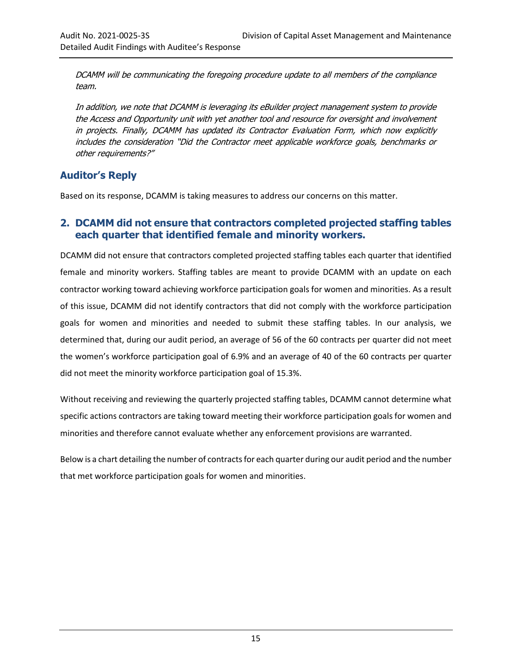DCAMM will be communicating the foregoing procedure update to all members of the compliance team.

In addition, we note that DCAMM is leveraging its eBuilder project management system to provide the Access and Opportunity unit with yet another tool and resource for oversight and involvement in projects. Finally, DCAMM has updated its Contractor Evaluation Form, which now explicitly includes the consideration "Did the Contractor meet applicable workforce goals, benchmarks or other requirements?"

## **Auditor's Reply**

Based on its response, DCAMM is taking measures to address our concerns on this matter.

### <span id="page-18-0"></span>**2. DCAMM did not ensure that contractors completed projected staffing tables each quarter that identified female and minority workers.**

DCAMM did not ensure that contractors completed projected staffing tables each quarter that identified female and minority workers. Staffing tables are meant to provide DCAMM with an update on each contractor working toward achieving workforce participation goals for women and minorities. As a result of this issue, DCAMM did not identify contractors that did not comply with the workforce participation goals for women and minorities and needed to submit these staffing tables. In our analysis, we determined that, during our audit period, an average of 56 of the 60 contracts per quarter did not meet the women's workforce participation goal of 6.9% and an average of 40 of the 60 contracts per quarter did not meet the minority workforce participation goal of 15.3%.

Without receiving and reviewing the quarterly projected staffing tables, DCAMM cannot determine what specific actions contractors are taking toward meeting their workforce participation goals for women and minorities and therefore cannot evaluate whether any enforcement provisions are warranted.

Below is a chart detailing the number of contracts for each quarter during our audit period and the number that met workforce participation goals for women and minorities.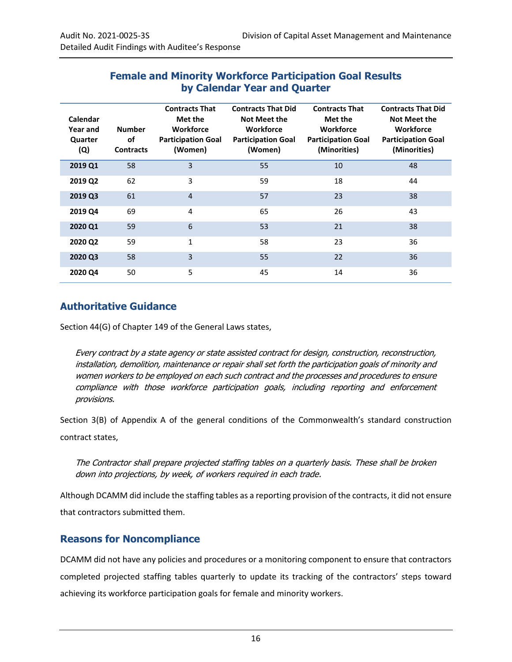## **Female and Minority Workforce Participation Goal Results by Calendar Year and Quarter**

| Calendar<br>Year and<br>Quarter<br>(Q) | <b>Number</b><br>of<br><b>Contracts</b> | <b>Contracts That</b><br>Met the<br><b>Workforce</b><br><b>Participation Goal</b><br>(Women) | <b>Contracts That Did</b><br><b>Not Meet the</b><br><b>Workforce</b><br><b>Participation Goal</b><br>(Women) | <b>Contracts That</b><br>Met the<br><b>Workforce</b><br><b>Participation Goal</b><br>(Minorities) | <b>Contracts That Did</b><br><b>Not Meet the</b><br>Workforce<br><b>Participation Goal</b><br>(Minorities) |
|----------------------------------------|-----------------------------------------|----------------------------------------------------------------------------------------------|--------------------------------------------------------------------------------------------------------------|---------------------------------------------------------------------------------------------------|------------------------------------------------------------------------------------------------------------|
| 2019 Q1                                | 58                                      | 3                                                                                            | 55                                                                                                           | 10                                                                                                | 48                                                                                                         |
| 2019 Q2                                | 62                                      | 3                                                                                            | 59                                                                                                           | 18                                                                                                | 44                                                                                                         |
| 2019 Q3                                | 61                                      | $\overline{4}$                                                                               | 57                                                                                                           | 23                                                                                                | 38                                                                                                         |
| 2019 Q4                                | 69                                      | 4                                                                                            | 65                                                                                                           | 26                                                                                                | 43                                                                                                         |
| 2020 Q1                                | 59                                      | 6                                                                                            | 53                                                                                                           | 21                                                                                                | 38                                                                                                         |
| 2020 Q2                                | 59                                      | $\mathbf{1}$                                                                                 | 58                                                                                                           | 23                                                                                                | 36                                                                                                         |
| 2020 Q3                                | 58                                      | 3                                                                                            | 55                                                                                                           | 22                                                                                                | 36                                                                                                         |
| 2020 Q4                                | 50                                      | 5                                                                                            | 45                                                                                                           | 14                                                                                                | 36                                                                                                         |

#### **Authoritative Guidance**

Section 44(G) of Chapter 149 of the General Laws states,

Every contract by a state agency or state assisted contract for design, construction, reconstruction, installation, demolition, maintenance or repair shall set forth the participation goals of minority and women workers to be employed on each such contract and the processes and procedures to ensure compliance with those workforce participation goals, including reporting and enforcement provisions.

Section 3(B) of Appendix A of the general conditions of the Commonwealth's standard construction contract states,

The Contractor shall prepare projected staffing tables on a quarterly basis. These shall be broken down into projections, by week, of workers required in each trade.

Although DCAMM did include the staffing tables as a reporting provision of the contracts, it did not ensure that contractors submitted them.

#### **Reasons for Noncompliance**

DCAMM did not have any policies and procedures or a monitoring component to ensure that contractors completed projected staffing tables quarterly to update its tracking of the contractors' steps toward achieving its workforce participation goals for female and minority workers.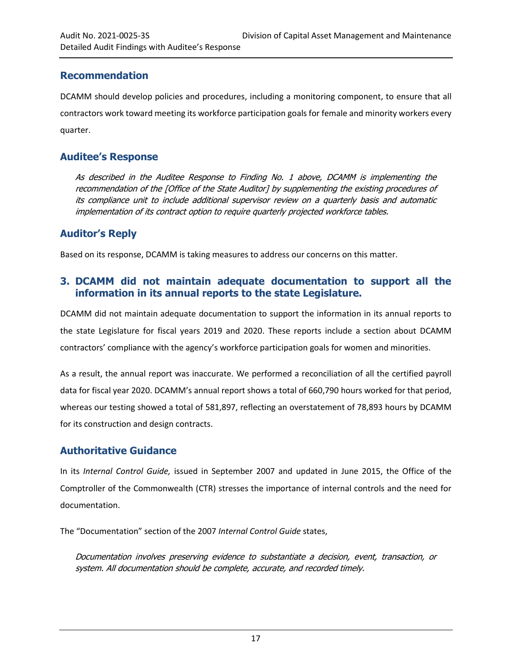## <span id="page-20-1"></span>**Recommendation**

DCAMM should develop policies and procedures, including a monitoring component, to ensure that all contractors work toward meeting its workforce participation goals for female and minority workers every quarter.

### **Auditee's Response**

As described in the Auditee Response to Finding No. 1 above, DCAMM is implementing the recommendation of the [Office of the State Auditor] by supplementing the existing procedures of its compliance unit to include additional supervisor review on a quarterly basis and automatic implementation of its contract option to require quarterly projected workforce tables.

## **Auditor's Reply**

Based on its response, DCAMM is taking measures to address our concerns on this matter.

## <span id="page-20-0"></span>**3. DCAMM did not maintain adequate documentation to support all the information in its annual reports to the state Legislature.**

DCAMM did not maintain adequate documentation to support the information in its annual reports to the state Legislature for fiscal years 2019 and 2020. These reports include a section about DCAMM contractors' compliance with the agency's workforce participation goals for women and minorities.

As a result, the annual report was inaccurate. We performed a reconciliation of all the certified payroll data for fiscal year 2020. DCAMM's annual report shows a total of 660,790 hours worked for that period, whereas our testing showed a total of 581,897, reflecting an overstatement of 78,893 hours by DCAMM for its construction and design contracts.

## **Authoritative Guidance**

In its *Internal Control Guide,* issued in September 2007 and updated in June 2015, the Office of the Comptroller of the Commonwealth (CTR) stresses the importance of internal controls and the need for documentation.

The "Documentation" section of the 2007 *Internal Control Guide* states,

Documentation involves preserving evidence to substantiate a decision, event, transaction, or system. All documentation should be complete, accurate, and recorded timely.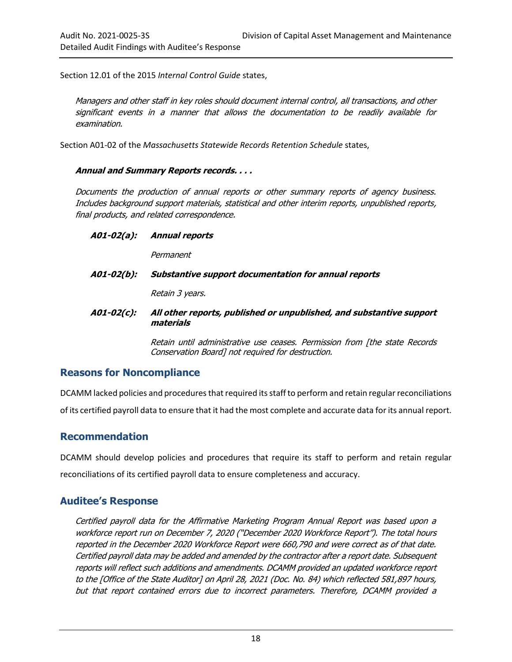Section 12.01 of the 2015 *Internal Control Guide* states,

Managers and other staff in key roles should document internal control, all transactions, and other significant events in a manner that allows the documentation to be readily available for examination.

Section A01-02 of the *Massachusetts Statewide Records Retention Schedule* states,

#### **Annual and Summary Reports records. . . .**

Documents the production of annual reports or other summary reports of agency business. Includes background support materials, statistical and other interim reports, unpublished reports, final products, and related correspondence.

**A01-02(a): Annual reports** 

Permanent

**A01-02(b): Substantive support documentation for annual reports** 

Retain 3 years.

**A01-02(c): All other reports, published or unpublished, and substantive support materials**

> Retain until administrative use ceases. Permission from [the state Records Conservation Board] not required for destruction.

#### **Reasons for Noncompliance**

DCAMM lacked policies and procedures that required its staff to perform and retain regular reconciliations of its certified payroll data to ensure that it had the most complete and accurate data for its annual report.

#### <span id="page-21-0"></span>**Recommendation**

DCAMM should develop policies and procedures that require its staff to perform and retain regular reconciliations of its certified payroll data to ensure completeness and accuracy.

#### **Auditee's Response**

Certified payroll data for the Affirmative Marketing Program Annual Report was based upon a workforce report run on December 7, 2020 ("December 2020 Workforce Report"). The total hours reported in the December 2020 Workforce Report were 660,790 and were correct as of that date. Certified payroll data may be added and amended by the contractor after a report date. Subsequent reports will reflect such additions and amendments. DCAMM provided an updated workforce report to the [Office of the State Auditor] on April 28, 2021 (Doc. No. 84) which reflected 581,897 hours, but that report contained errors due to incorrect parameters. Therefore, DCAMM provided a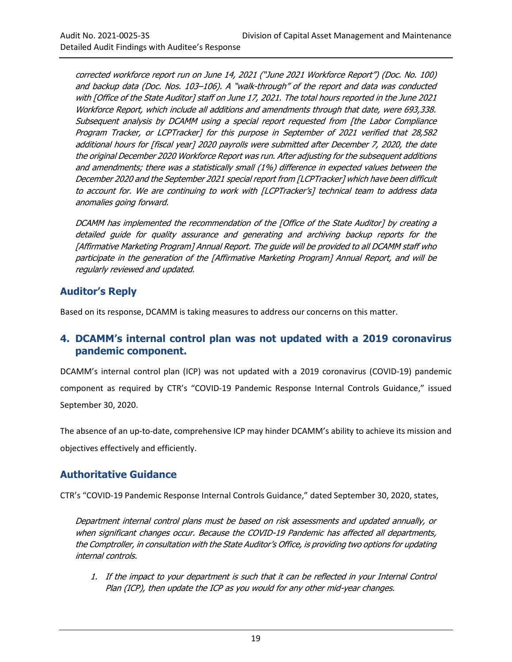corrected workforce report run on June 14, 2021 ("June 2021 Workforce Report") (Doc. No. 100) and backup data (Doc. Nos. 103–106). A "walk-through" of the report and data was conducted with [Office of the State Auditor] staff on June 17, 2021. The total hours reported in the June 2021 Workforce Report, which include all additions and amendments through that date, were 693,338. Subsequent analysis by DCAMM using a special report requested from [the Labor Compliance Program Tracker, or LCPTracker] for this purpose in September of 2021 verified that 28,582 additional hours for [fiscal year] 2020 payrolls were submitted after December 7, 2020, the date the original December 2020 Workforce Report was run. After adjusting for the subsequent additions and amendments; there was a statistically small (1%) difference in expected values between the December 2020 and the September 2021 special report from [LCPTracker] which have been difficult to account for. We are continuing to work with [LCPTracker's] technical team to address data anomalies going forward.

DCAMM has implemented the recommendation of the [Office of the State Auditor] by creating a detailed guide for quality assurance and generating and archiving backup reports for the [Affirmative Marketing Program] Annual Report. The guide will be provided to all DCAMM staff who participate in the generation of the [Affirmative Marketing Program] Annual Report, and will be regularly reviewed and updated.

## **Auditor's Reply**

Based on its response, DCAMM is taking measures to address our concerns on this matter.

#### <span id="page-22-0"></span>**4. DCAMM's internal control plan was not updated with a 2019 coronavirus pandemic component.**

DCAMM's internal control plan (ICP) was not updated with a 2019 coronavirus (COVID-19) pandemic component as required by CTR's "COVID-19 Pandemic Response Internal Controls Guidance," issued September 30, 2020.

The absence of an up-to-date, comprehensive ICP may hinder DCAMM's ability to achieve its mission and objectives effectively and efficiently.

## **Authoritative Guidance**

CTR's "COVID-19 Pandemic Response Internal Controls Guidance," dated September 30, 2020, states,

Department internal control plans must be based on risk assessments and updated annually, or when significant changes occur. Because the COVID-19 Pandemic has affected all departments, the Comptroller, in consultation with the State Auditor's Office, is providing two options for updating internal controls.

1. If the impact to your department is such that it can be reflected in your Internal Control Plan (ICP), then update the ICP as you would for any other mid-year changes.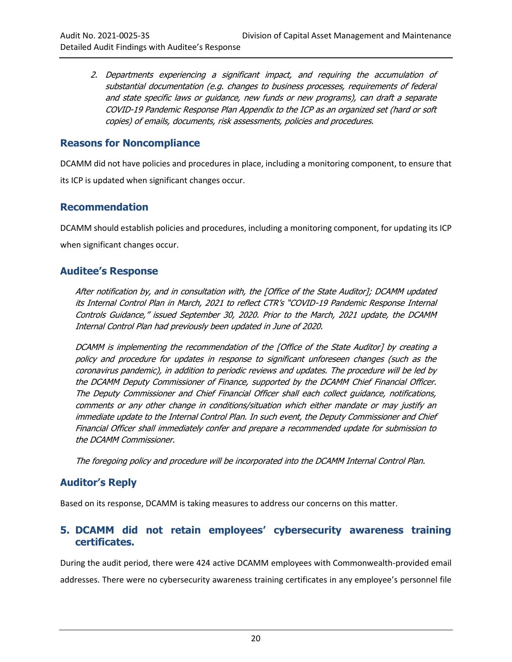2. Departments experiencing a significant impact, and requiring the accumulation of substantial documentation (e.g. changes to business processes, requirements of federal and state specific laws or guidance, new funds or new programs), can draft a separate COVID-19 Pandemic Response Plan Appendix to the ICP as an organized set (hard or soft copies) of emails, documents, risk assessments, policies and procedures.

#### **Reasons for Noncompliance**

DCAMM did not have policies and procedures in place, including a monitoring component, to ensure that its ICP is updated when significant changes occur.

#### <span id="page-23-1"></span>**Recommendation**

DCAMM should establish policies and procedures, including a monitoring component, for updating its ICP when significant changes occur.

#### **Auditee's Response**

After notification by, and in consultation with, the [Office of the State Auditor]; DCAMM updated its Internal Control Plan in March, 2021 to reflect CTR's "COVID-19 Pandemic Response Internal Controls Guidance," issued September 30, 2020. Prior to the March, 2021 update, the DCAMM Internal Control Plan had previously been updated in June of 2020.

DCAMM is implementing the recommendation of the [Office of the State Auditor] by creating a policy and procedure for updates in response to significant unforeseen changes (such as the coronavirus pandemic), in addition to periodic reviews and updates. The procedure will be led by the DCAMM Deputy Commissioner of Finance, supported by the DCAMM Chief Financial Officer. The Deputy Commissioner and Chief Financial Officer shall each collect guidance, notifications, comments or any other change in conditions/situation which either mandate or may justify an immediate update to the Internal Control Plan. In such event, the Deputy Commissioner and Chief Financial Officer shall immediately confer and prepare a recommended update for submission to the DCAMM Commissioner.

The foregoing policy and procedure will be incorporated into the DCAMM Internal Control Plan.

## **Auditor's Reply**

Based on its response, DCAMM is taking measures to address our concerns on this matter.

#### <span id="page-23-0"></span>**5. DCAMM did not retain employees' cybersecurity awareness training certificates.**

During the audit period, there were 424 active DCAMM employees with Commonwealth-provided email addresses. There were no cybersecurity awareness training certificates in any employee's personnel file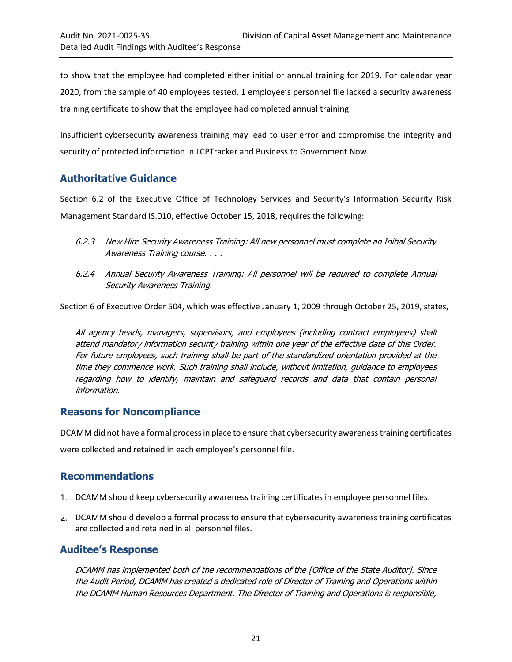to show that the employee had completed either initial or annual training for 2019. For calendar year 2020, from the sample of 40 employees tested, 1 employee's personnel file lacked a security awareness training certificate to show that the employee had completed annual training.

Insufficient cybersecurity awareness training may lead to user error and compromise the integrity and security of protected information in LCPTracker and Business to Government Now.

## **Authoritative Guidance**

Section 6.2 of the Executive Office of Technology Services and Security's Information Security Risk Management Standard IS.010, effective October 15, 2018, requires the following:

- 6.2.3 New Hire Security Awareness Training: All new personnel must complete an Initial Security Awareness Training course. . . .
- 6.2.4 Annual Security Awareness Training: All personnel will be required to complete Annual Security Awareness Training.

Section 6 of Executive Order 504, which was effective January 1, 2009 through October 25, 2019, states,

All agency heads, managers, supervisors, and employees (including contract employees) shall attend mandatory information security training within one year of the effective date of this Order. For future employees, such training shall be part of the standardized orientation provided at the time they commence work. Such training shall include, without limitation, guidance to employees regarding how to identify, maintain and safeguard records and data that contain personal information.

## **Reasons for Noncompliance**

DCAMM did not have a formal process in place to ensure that cybersecurity awareness training certificates were collected and retained in each employee's personnel file.

## <span id="page-24-0"></span>**Recommendations**

- DCAMM should keep cybersecurity awareness training certificates in employee personnel files.
- DCAMM should develop a formal process to ensure that cybersecurity awareness training certificates are collected and retained in all personnel files.

## **Auditee's Response**

DCAMM has implemented both of the recommendations of the [Office of the State Auditor]. Since the Audit Period, DCAMM has created a dedicated role of Director of Training and Operations within the DCAMM Human Resources Department. The Director of Training and Operations is responsible,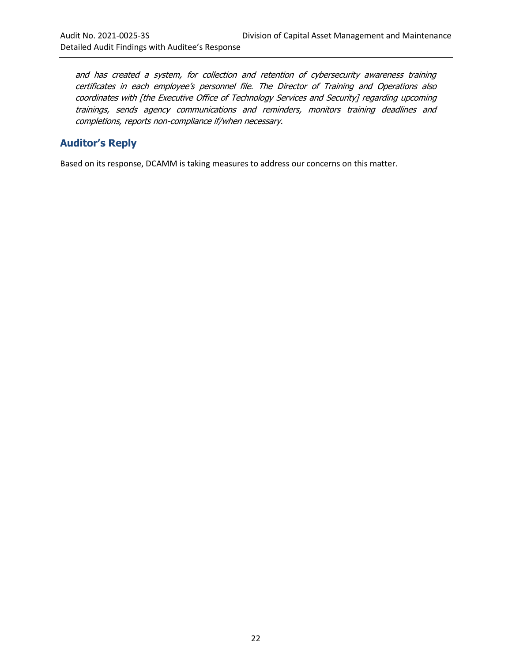and has created a system, for collection and retention of cybersecurity awareness training certificates in each employee's personnel file. The Director of Training and Operations also coordinates with [the Executive Office of Technology Services and Security] regarding upcoming trainings, sends agency communications and reminders, monitors training deadlines and completions, reports non-compliance if/when necessary.

## **Auditor's Reply**

Based on its response, DCAMM is taking measures to address our concerns on this matter.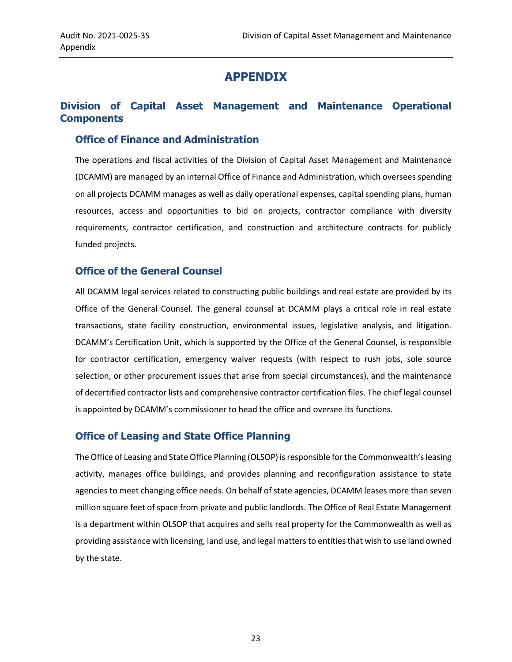## **APPENDIX**

## <span id="page-26-0"></span>**Division of Capital Asset Management and Maintenance Operational Components**

#### **Office of Finance and Administration**

The operations and fiscal activities of the Division of Capital Asset Management and Maintenance (DCAMM) are managed by an internal Office of Finance and Administration, which oversees spending on all projects DCAMM manages as well as daily operational expenses, capital spending plans, human resources, access and opportunities to bid on projects, contractor compliance with diversity requirements, contractor certification, and construction and architecture contracts for publicly funded projects.

#### **Office of the General Counsel**

All DCAMM legal services related to constructing public buildings and real estate are provided by its Office of the General Counsel. The general counsel at DCAMM plays a critical role in real estate transactions, state facility construction, environmental issues, legislative analysis, and litigation. DCAMM's Certification Unit, which is supported by the Office of the General Counsel, is responsible for contractor certification, emergency waiver requests (with respect to rush jobs, sole source selection, or other procurement issues that arise from special circumstances), and the maintenance of decertified contractor lists and comprehensive contractor certification files. The chief legal counsel is appointed by DCAMM's commissioner to head the office and oversee its functions.

#### **Office of Leasing and State Office Planning**

The Office of Leasing and State Office Planning (OLSOP) is responsible for the Commonwealth's leasing activity, manages office buildings, and provides planning and reconfiguration assistance to state agencies to meet changing office needs. On behalf of state agencies, DCAMM leases more than seven million square feet of space from private and public landlords. The Office of Real Estate Management is a department within OLSOP that acquires and sells real property for the Commonwealth as well as providing assistance with licensing, land use, and legal matters to entities that wish to use land owned by the state.